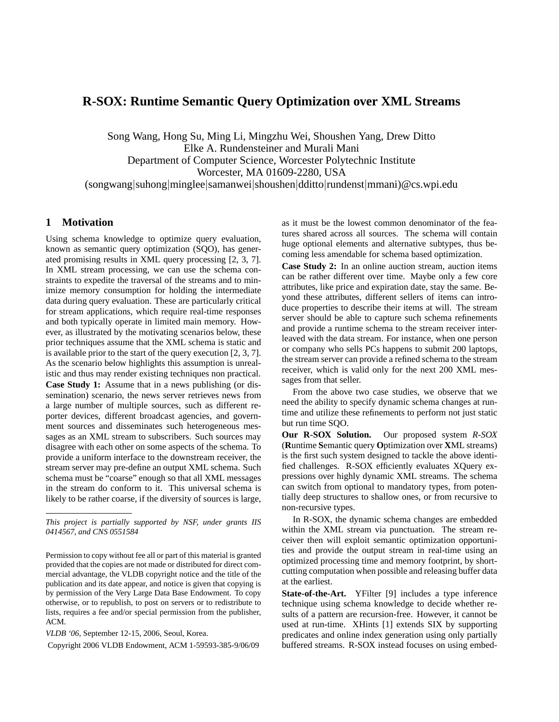# **R-SOX: Runtime Semantic Query Optimization over XML Streams**

Song Wang, Hong Su, Ming Li, Mingzhu Wei, Shoushen Yang, Drew Ditto Elke A. Rundensteiner and Murali Mani Department of Computer Science, Worcester Polytechnic Institute Worcester, MA 01609-2280, USA (songwang|suhong|minglee|samanwei|shoushen|dditto|rundenst|mmani)@cs.wpi.edu

# **1 Motivation**

Using schema knowledge to optimize query evaluation, known as semantic query optimization (SQO), has generated promising results in XML query processing [2, 3, 7]. In XML stream processing, we can use the schema constraints to expedite the traversal of the streams and to minimize memory consumption for holding the intermediate data during query evaluation. These are particularly critical for stream applications, which require real-time responses and both typically operate in limited main memory. However, as illustrated by the motivating scenarios below, these prior techniques assume that the XML schema is static and is available prior to the start of the query execution [2, 3, 7]. As the scenario below highlights this assumption is unrealistic and thus may render existing techniques non practical. **Case Study 1:** Assume that in a news publishing (or dissemination) scenario, the news server retrieves news from a large number of multiple sources, such as different reporter devices, different broadcast agencies, and government sources and disseminates such heterogeneous messages as an XML stream to subscribers. Such sources may disagree with each other on some aspects of the schema. To provide a uniform interface to the downstream receiver, the stream server may pre-define an output XML schema. Such schema must be "coarse" enough so that all XML messages in the stream do conform to it. This universal schema is likely to be rather coarse, if the diversity of sources is large,

*This project is partially supported by NSF, under grants IIS 0414567, and CNS 0551584*

as it must be the lowest common denominator of the features shared across all sources. The schema will contain huge optional elements and alternative subtypes, thus becoming less amendable for schema based optimization.

**Case Study 2:** In an online auction stream, auction items can be rather different over time. Maybe only a few core attributes, like price and expiration date, stay the same. Beyond these attributes, different sellers of items can introduce properties to describe their items at will. The stream server should be able to capture such schema refinements and provide a runtime schema to the stream receiver interleaved with the data stream. For instance, when one person or company who sells PCs happens to submit 200 laptops, the stream server can provide a refined schema to the stream receiver, which is valid only for the next 200 XML messages from that seller.

From the above two case studies, we observe that we need the ability to specify dynamic schema changes at runtime and utilize these refinements to perform not just static but run time SQO.

**Our R-SOX Solution.** Our proposed system *R-SOX* (**R**untime **S**emantic query **O**ptimization over **X**ML streams) is the first such system designed to tackle the above identified challenges. R-SOX efficiently evaluates XQuery expressions over highly dynamic XML streams. The schema can switch from optional to mandatory types, from potentially deep structures to shallow ones, or from recursive to non-recursive types.

In R-SOX, the dynamic schema changes are embedded within the XML stream via punctuation. The stream receiver then will exploit semantic optimization opportunities and provide the output stream in real-time using an optimized processing time and memory footprint, by shortcutting computation when possible and releasing buffer data at the earliest.

**State-of-the-Art.** YFilter [9] includes a type inference technique using schema knowledge to decide whether results of a pattern are recursion-free. However, it cannot be used at run-time. XHints [1] extends SIX by supporting predicates and online index generation using only partially buffered streams. R-SOX instead focuses on using embed-

Permission to copy without fee all or part of this material is granted provided that the copies are not made or distributed for direct commercial advantage, the VLDB copyright notice and the title of the publication and its date appear, and notice is given that copying is by permission of the Very Large Data Base Endowment. To copy otherwise, or to republish, to post on servers or to redistribute to lists, requires a fee and/or special permission from the publisher, ACM.

*VLDB '06*, September 12-15, 2006, Seoul, Korea.

Copyright 2006 VLDB Endowment, ACM 1-59593-385-9/06/09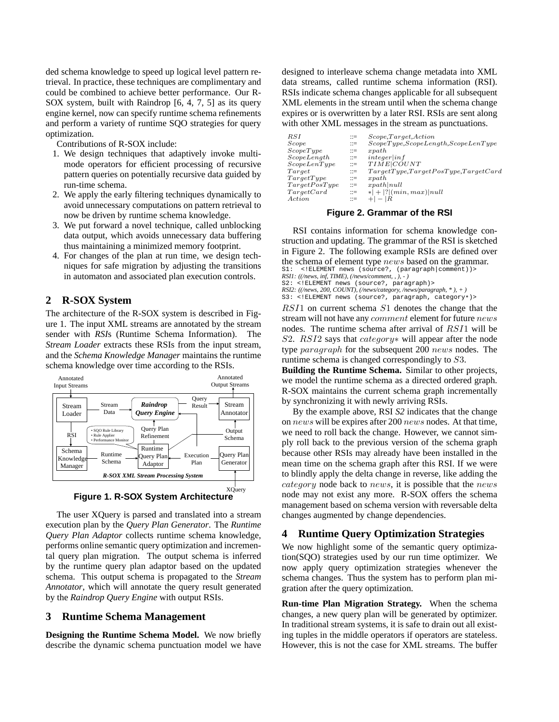ded schema knowledge to speed up logical level pattern retrieval. In practice, these techniques are complimentary and could be combined to achieve better performance. Our R-SOX system, built with Raindrop [6, 4, 7, 5] as its query engine kernel, now can specify runtime schema refinements and perform a variety of runtime SQO strategies for query optimization.

Contributions of R-SOX include:

- 1. We design techniques that adaptively invoke multimode operators for efficient processing of recursive pattern queries on potentially recursive data guided by run-time schema.
- 2. We apply the early filtering techniques dynamically to avoid unnecessary computations on pattern retrieval to now be driven by runtime schema knowledge.
- 3. We put forward a novel technique, called unblocking data output, which avoids unnecessary data buffering thus maintaining a minimized memory footprint.
- 4. For changes of the plan at run time, we design techniques for safe migration by adjusting the transitions in automaton and associated plan execution controls.

# **2 R-SOX System**

The architecture of the R-SOX system is described in Figure 1. The input XML streams are annotated by the stream sender with *RSI*s (Runtime Schema Information). The *Stream Loader* extracts these RSIs from the input stream, and the *Schema Knowledge Manager* maintains the runtime schema knowledge over time according to the RSIs.





The user XQuery is parsed and translated into a stream execution plan by the *Query Plan Generator*. The *Runtime Query Plan Adaptor* collects runtime schema knowledge, performs online semantic query optimization and incremental query plan migration. The output schema is inferred by the runtime query plan adaptor based on the updated schema. This output schema is propagated to the *Stream Annotator*, which will annotate the query result generated by the *Raindrop Query Engine* with output RSIs.

## **3 Runtime Schema Management**

**Designing the Runtime Schema Model.** We now briefly describe the dynamic schema punctuation model we have designed to interleave schema change metadata into XML data streams, called runtime schema information (RSI). RSIs indicate schema changes applicable for all subsequent XML elements in the stream until when the schema change expires or is overwritten by a later RSI. RSIs are sent along with other XML messages in the stream as punctuations.

| $_{RSI}$               | $\mathbf{m}$          | Scope, Target, Action                       |
|------------------------|-----------------------|---------------------------------------------|
| Score                  | $\mathbf{m}$          | ScopeType, ScoreLength, ScoreLenType        |
| ScopeType              | $\mathbb{R}^n =$      | x path                                      |
| ScopeLength            | $\mathbf{r} =$        | integer inf                                 |
| ScopeLenType           | $\mathbb{R}^2 =$      | TIME COUNT                                  |
| $\scriptstyle{Target}$ | $\mathbf{m}$          | TargetType, TargetPosType, TargetCard       |
| TargetType             | $\mathbb{R}^n =$      | x path                                      |
| TargetPosType          | $\mathrel{\mathop:}=$ | x path   null                               |
| TargetCard             | $\mathbf{m}$          | $*$   +  ? ( <i>min, max</i> )  <i>null</i> |
| Action                 | $\mathrel{\mathop:}=$ | $+  -  R $                                  |
|                        |                       |                                             |

#### **Figure 2. Grammar of the RSI**

RSI contains information for schema knowledge construction and updating. The grammar of the RSI is sketched in Figure 2. The following example RSIs are defined over the schema of element type news based on the grammar. S1: <!ELEMENT news (source?, (paragraph|comment))> *RSI1:*  $((\n\angle \text{news}, \text{inf}, \text{TIME}), (\n\angle \text{news}/\text{comment}, \text{1}, \text{2})$ <br> *S*2:  $\angle$ FLEMENT news (SOULCE), parac

<! ELEMENT news (source?, paragraph)> *RSI2: ((/news, 200, COUNT), (/news/category, /news/paragraph, \* ), + )* S3: <!ELEMENT news (source?, paragraph, category\*)>

RSI1 on current schema S1 denotes the change that the stream will not have any comment element for future news nodes. The runtime schema after arrival of RSI1 will be S2. RSI2 says that *category∗* will appear after the node type paragraph for the subsequent 200 news nodes. The runtime schema is changed correspondingly to S3.

**Building the Runtime Schema.** Similar to other projects, we model the runtime schema as a directed ordered graph. R-SOX maintains the current schema graph incrementally by synchronizing it with newly arriving RSIs.

By the example above, RSI *S2* indicates that the change on news will be expires after 200 news nodes. At that time, we need to roll back the change. However, we cannot simply roll back to the previous version of the schema graph because other RSIs may already have been installed in the mean time on the schema graph after this RSI. If we were to blindly apply the delta change in reverse, like adding the category node back to news, it is possible that the news node may not exist any more. R-SOX offers the schema management based on schema version with reversable delta changes augmented by change dependencies.

### **4 Runtime Query Optimization Strategies**

We now highlight some of the semantic query optimization(SQO) strategies used by our run time optimizer. We now apply query optimization strategies whenever the schema changes. Thus the system has to perform plan migration after the query optimization.

**Run-time Plan Migration Strategy.** When the schema changes, a new query plan will be generated by optimizer. In traditional stream systems, it is safe to drain out all existing tuples in the middle operators if operators are stateless. However, this is not the case for XML streams. The buffer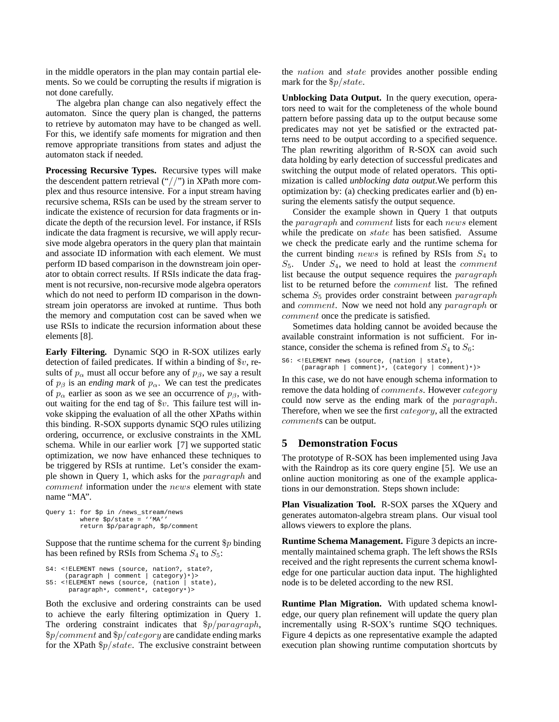in the middle operators in the plan may contain partial elements. So we could be corrupting the results if migration is not done carefully.

The algebra plan change can also negatively effect the automaton. Since the query plan is changed, the patterns to retrieve by automaton may have to be changed as well. For this, we identify safe moments for migration and then remove appropriate transitions from states and adjust the automaton stack if needed.

**Processing Recursive Types.** Recursive types will make the descendent pattern retrieval ("//") in XPath more complex and thus resource intensive. For a input stream having recursive schema, RSIs can be used by the stream server to indicate the existence of recursion for data fragments or indicate the depth of the recursion level. For instance, if RSIs indicate the data fragment is recursive, we will apply recursive mode algebra operators in the query plan that maintain and associate ID information with each element. We must perform ID based comparison in the downstream join operator to obtain correct results. If RSIs indicate the data fragment is not recursive, non-recursive mode algebra operators which do not need to perform ID comparison in the downstream join operatorss are invoked at runtime. Thus both the memory and computation cost can be saved when we use RSIs to indicate the recursion information about these elements [8].

**Early Filtering.** Dynamic SQO in R-SOX utilizes early detection of failed predicates. If within a binding of  $v$ , results of  $p_{\alpha}$  must all occur before any of  $p_{\beta}$ , we say a result of  $p_\beta$  is an *ending mark* of  $p_\alpha$ . We can test the predicates of  $p_{\alpha}$  earlier as soon as we see an occurrence of  $p_{\beta}$ , without waiting for the end tag of  $v$ . This failure test will invoke skipping the evaluation of all the other XPaths within this binding. R-SOX supports dynamic SQO rules utilizing ordering, occurrence, or exclusive constraints in the XML schema. While in our earlier work [7] we supported static optimization, we now have enhanced these techniques to be triggered by RSIs at runtime. Let's consider the example shown in Query 1, which asks for the paragraph and comment information under the news element with state name "MA".

```
Query 1: for $p in /news_stream/news
         where $p/state = ''MA''
         return $p/paragraph, $p/comment
```
Suppose that the runtime schema for the current  $\wp$  binding has been refined by RSIs from Schema  $S_4$  to  $S_5$ :

```
S4: <!ELEMENT news (source, nation?, state?,
(paragraph | comment | category)*)>
S5: <!ELEMENT news (source, (nation | state),
       paragraph*, comment*, category*)>
```
Both the exclusive and ordering constraints can be used to achieve the early filtering optimization in Query 1. The ordering constraint indicates that  $\frac{p}{p}$  paragraph,  $\frac{6}{9}$ /comment and  $\frac{6}{9}$ /category are candidate ending marks for the XPath  $\frac{6}{7}$  /state. The exclusive constraint between

the *nation* and *state* provides another possible ending mark for the \$p/state.

**Unblocking Data Output.** In the query execution, operators need to wait for the completeness of the whole bound pattern before passing data up to the output because some predicates may not yet be satisfied or the extracted patterns need to be output according to a specified sequence. The plan rewriting algorithm of R-SOX can avoid such data holding by early detection of successful predicates and switching the output mode of related operators. This optimization is called *unblocking data output*.We perform this optimization by: (a) checking predicates earlier and (b) ensuring the elements satisfy the output sequence.

Consider the example shown in Query 1 that outputs the paragraph and comment lists for each news element while the predicate on *state* has been satisfied. Assume we check the predicate early and the runtime schema for the current binding news is refined by RSIs from  $S_4$  to  $S_5$ . Under  $S_4$ , we need to hold at least the *comment* list because the output sequence requires the paragraph list to be returned before the comment list. The refined schema  $S_5$  provides order constraint between paragraph and comment. Now we need not hold any paragraph or comment once the predicate is satisfied.

Sometimes data holding cannot be avoided because the available constraint information is not sufficient. For instance, consider the schema is refined from  $S_4$  to  $S_6$ :

```
S6: <!ELEMENT news (source, (nation | state),
     (paragraph | comment)*, (category | comment)*)>
```
In this case, we do not have enough schema information to remove the data holding of *comments*. However *category* could now serve as the ending mark of the paragraph. Therefore, when we see the first category, all the extracted comments can be output.

## **5 Demonstration Focus**

The prototype of R-SOX has been implemented using Java with the Raindrop as its core query engine [5]. We use an online auction monitoring as one of the example applications in our demonstration. Steps shown include:

**Plan Visualization Tool.** R-SOX parses the XQuery and generates automaton-algebra stream plans. Our visual tool allows viewers to explore the plans.

**Runtime Schema Management.** Figure 3 depicts an incrementally maintained schema graph. The left shows the RSIs received and the right represents the current schema knowledge for one particular auction data input. The highlighted node is to be deleted according to the new RSI.

**Runtime Plan Migration.** With updated schema knowledge, our query plan refinement will update the query plan incrementally using R-SOX's runtime SQO techniques. Figure 4 depicts as one representative example the adapted execution plan showing runtime computation shortcuts by